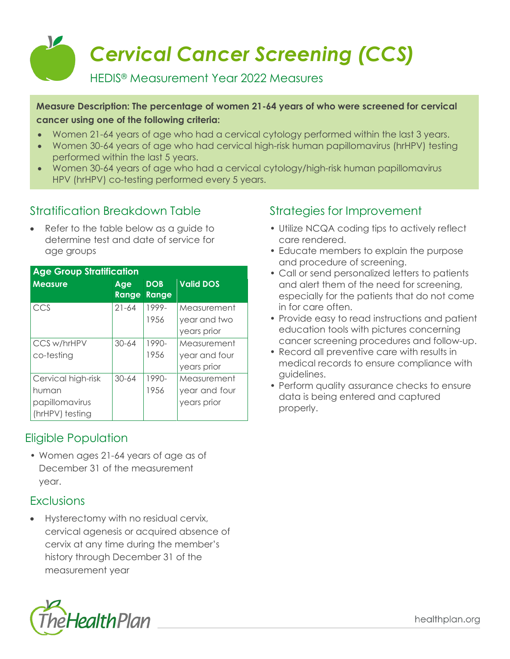

#### **Measure Description: The percentage of women 21-64 years of who were screened for cervical cancer using one of the following criteria:**

- Women 21-64 years of age who had a cervical cytology performed within the last 3 years.
- Women 30-64 years of age who had cervical high-risk human papillomavirus (hrHPV) testing performed within the last 5 years.
- Women 30-64 years of age who had a cervical cytology/high-risk human papillomavirus HPV (hrHPV) co-testing performed every 5 years.

## Stratification Breakdown Table

• Refer to the table below as a guide to determine test and date of service for age groups

| <b>Age Group Stratification</b> |              |                     |                  |  |  |
|---------------------------------|--------------|---------------------|------------------|--|--|
| <b>Measure</b>                  | Age<br>Range | <b>DOB</b><br>Range | <b>Valid DOS</b> |  |  |
| CCS                             | $21 - 64$    | 1999-               | Measurement      |  |  |
|                                 |              | 1956                | year and two     |  |  |
|                                 |              |                     | years prior      |  |  |
| CCS w/hrHPV                     | $30 - 64$    | $1990-$             | Measurement      |  |  |
| co-testing                      |              | 1956                | year and four    |  |  |
|                                 |              |                     | years prior      |  |  |
| Cervical high-risk              | $30 - 64$    | 1990-               | Measurement      |  |  |
| human                           |              | 1956                | year and four    |  |  |
| papillomavirus                  |              |                     | years prior      |  |  |
| (hrHPV) testing                 |              |                     |                  |  |  |

# Eligible Population

• Women ages 21-64 years of age as of December 31 of the measurement year.

## **Exclusions**

• Hysterectomy with no residual cervix, cervical agenesis or acquired absence of cervix at any time during the member's history through December 31 of the measurement year



# Strategies for Improvement

- Utilize NCQA coding tips to actively reflect care rendered.
- Educate members to explain the purpose and procedure of screening.
- Call or send personalized letters to patients and alert them of the need for screening, especially for the patients that do not come in for care often.
- Provide easy to read instructions and patient education tools with pictures concerning cancer screening procedures and follow-up.
- Record all preventive care with results in medical records to ensure compliance with guidelines.
- Perform quality assurance checks to ensure data is being entered and captured properly.